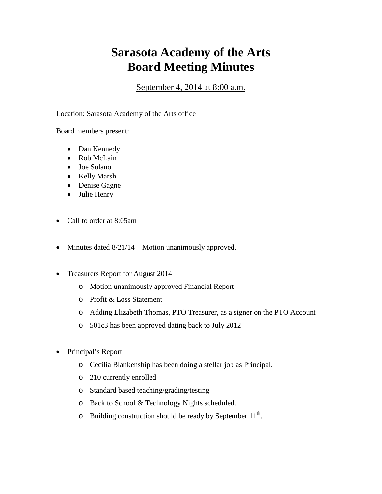## **Sarasota Academy of the Arts Board Meeting Minutes**

September 4, 2014 at 8:00 a.m.

Location: Sarasota Academy of the Arts office

Board members present:

- Dan Kennedy
- Rob McLain
- Joe Solano
- Kelly Marsh
- Denise Gagne
- Julie Henry
- Call to order at 8:05am
- Minutes dated  $8/21/14$  Motion unanimously approved.
- Treasurers Report for August 2014
	- o Motion unanimously approved Financial Report
	- o Profit & Loss Statement
	- o Adding Elizabeth Thomas, PTO Treasurer, as a signer on the PTO Account
	- o 501c3 has been approved dating back to July 2012
- Principal's Report
	- o Cecilia Blankenship has been doing a stellar job as Principal.
	- o 210 currently enrolled
	- o Standard based teaching/grading/testing
	- o Back to School & Technology Nights scheduled.
	- $\circ$  Building construction should be ready by September 11<sup>th</sup>.